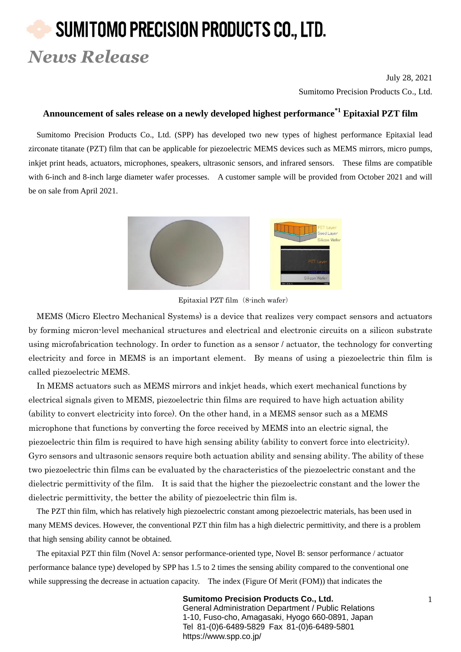## SUMITOMO PRECISION PRODUCTS CO., LTD. *News Release*

July 28, 2021 Sumitomo Precision Products Co., Ltd.

## **Announcement of sales release on a newly developed highest performance\*1 Epitaxial PZT film**

Sumitomo Precision Products Co., Ltd. (SPP) has developed two new types of highest performance Epitaxial lead zirconate titanate (PZT) film that can be applicable for piezoelectric MEMS devices such as MEMS mirrors, micro pumps, inkjet print heads, actuators, microphones, speakers, ultrasonic sensors, and infrared sensors. These films are compatible with 6-inch and 8-inch large diameter wafer processes. A customer sample will be provided from October 2021 and will be on sale from April 2021.



Epitaxial PZT film (8-inch wafer)

MEMS (Micro Electro Mechanical Systems) is a device that realizes very compact sensors and actuators by forming micron-level mechanical structures and electrical and electronic circuits on a silicon substrate using microfabrication technology. In order to function as a sensor / actuator, the technology for converting electricity and force in MEMS is an important element. By means of using a piezoelectric thin film is called piezoelectric MEMS.

In MEMS actuators such as MEMS mirrors and inkjet heads, which exert mechanical functions by electrical signals given to MEMS, piezoelectric thin films are required to have high actuation ability (ability to convert electricity into force). On the other hand, in a MEMS sensor such as a MEMS microphone that functions by converting the force received by MEMS into an electric signal, the piezoelectric thin film is required to have high sensing ability (ability to convert force into electricity). Gyro sensors and ultrasonic sensors require both actuation ability and sensing ability. The ability of these two piezoelectric thin films can be evaluated by the characteristics of the piezoelectric constant and the dielectric permittivity of the film. It is said that the higher the piezoelectric constant and the lower the dielectric permittivity, the better the ability of piezoelectric thin film is.

The PZT thin film, which has relatively high piezoelectric constant among piezoelectric materials, has been used in many MEMS devices. However, the conventional PZT thin film has a high dielectric permittivity, and there is a problem that high sensing ability cannot be obtained.

The epitaxial PZT thin film (Novel A: sensor performance-oriented type, Novel B: sensor performance / actuator performance balance type) developed by SPP has 1.5 to 2 times the sensing ability compared to the conventional one while suppressing the decrease in actuation capacity. The index (Figure Of Merit (FOM)) that indicates the

> **Sumitomo Precision Products Co., Ltd.** 1 General Administration Department / Public Relations 1-10, Fuso-cho, Amagasaki, Hyogo 660-0891, Japan Tel 81-(0)6-6489-5829 Fax 81-(0)6-6489-5801 https://www.spp.co.jp/